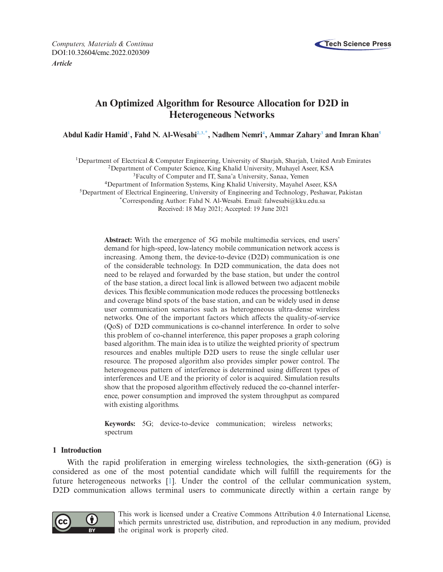

*Computers, Materials & Continua* **Tech Science Press** DOI[:10.32604/cmc.2022.020309](http://dx.doi.org/10.32604/cmc.2022.020309)

*Article*

# **An Optimized Algorithm for Resource Allocation for D2D in Heterogeneous Networks**

**Abdul Kadir Hami[d1](#page-0-0) , Fahd N. Al-Wesab[i2,](#page-0-1)[3](#page-0-2)[,\\*,](#page-0-3) Nadhem Nemr[i4](#page-0-4) , Ammar Zahar[y3](#page-0-2) and Imran Kha[n5](#page-0-5)**

<span id="page-0-0"></span>1Department of Electrical & Computer Engineering, University of Sharjah, Sharjah, United Arab Emirates

<span id="page-0-1"></span>2Department of Computer Science, King Khalid University, Muhayel Aseer, KSA

<span id="page-0-2"></span>3Faculty of Computer and IT, Sana'a University, Sanaa, Yemen

<span id="page-0-4"></span>4Department of Information Systems, King Khalid University, Mayahel Aseer, KSA

<span id="page-0-5"></span>5Department of Electrical Engineering, University of Engineering and Technology, Peshawar, Pakistan

<span id="page-0-3"></span>\*Corresponding Author: Fahd N. Al-Wesabi. Email: falwesabi@kku.edu.sa Received: 18 May 2021; Accepted: 19 June 2021

**Abstract:** With the emergence of 5G mobile multimedia services, end users' demand for high-speed, low-latency mobile communication network access is increasing. Among them, the device-to-device (D2D) communication is one of the considerable technology. In D2D communication, the data does not need to be relayed and forwarded by the base station, but under the control of the base station, a direct local link is allowed between two adjacent mobile devices. This flexible communication mode reduces the processing bottlenecks and coverage blind spots of the base station, and can be widely used in dense user communication scenarios such as heterogeneous ultra-dense wireless networks. One of the important factors which affects the quality-of-service (QoS) of D2D communications is co-channel interference. In order to solve this problem of co-channel interference, this paper proposes a graph coloring based algorithm. The main idea is to utilize the weighted priority of spectrum resources and enables multiple D2D users to reuse the single cellular user resource. The proposed algorithm also provides simpler power control. The heterogeneous pattern of interference is determined using different types of interferences and UE and the priority of color is acquired. Simulation results show that the proposed algorithm effectively reduced the co-channel interference, power consumption and improved the system throughput as compared with existing algorithms.

**Keywords:** 5G; device-to-device communication; wireless networks; spectrum

# **1 Introduction**

With the rapid proliferation in emerging wireless technologies, the sixth-generation (6G) is considered as one of the most potential candidate which will fulfill the requirements for the future heterogeneous networks [\[1](#page-12-0)]. Under the control of the cellular communication system, D<sub>2</sub>D communication allows terminal users to communicate directly within a certain range by



This work is licensed under a Creative Commons Attribution 4.0 International License, which permits unrestricted use, distribution, and reproduction in any medium, provided the original work is properly cited.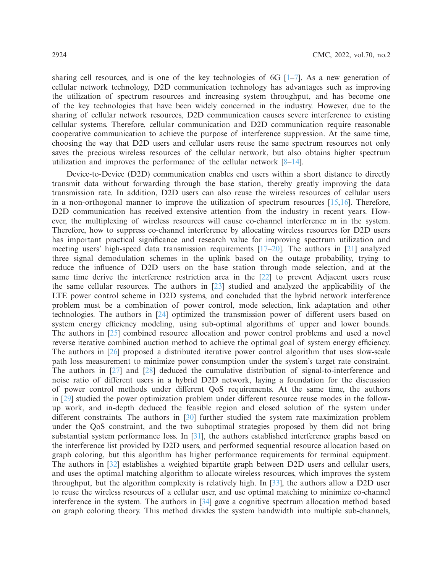sharing cell resources, and is one of the key technologies of 6G  $[1-7]$  $[1-7]$ . As a new generation of cellular network technology, D2D communication technology has advantages such as improving the utilization of spectrum resources and increasing system throughput, and has become one of the key technologies that have been widely concerned in the industry. However, due to the sharing of cellular network resources, D2D communication causes severe interference to existing cellular systems. Therefore, cellular communication and D2D communication require reasonable cooperative communication to achieve the purpose of interference suppression. At the same time, choosing the way that D2D users and cellular users reuse the same spectrum resources not only saves the precious wireless resources of the cellular network, but also obtains higher spectrum utilization and improves the performance of the cellular network [\[8](#page-12-2)[–14\]](#page-12-3).

Device-to-Device (D2D) communication enables end users within a short distance to directly transmit data without forwarding through the base station, thereby greatly improving the data transmission rate. In addition, D2D users can also reuse the wireless resources of cellular users in a non-orthogonal manner to improve the utilization of spectrum resources  $[15,16]$  $[15,16]$ . Therefore, D<sub>2</sub>D communication has received extensive attention from the industry in recent years. However, the multiplexing of wireless resources will cause co-channel interference m in the system. Therefore, how to suppress co-channel interference by allocating wireless resources for D2D users has important practical significance and research value for improving spectrum utilization and meeting users' high-speed data transmission requirements  $[17–20]$  $[17–20]$ . The authors in [\[21\]](#page-13-3) analyzed three signal demodulation schemes in the uplink based on the outage probability, trying to reduce the influence of D2D users on the base station through mode selection, and at the same time derive the interference restriction area in the [\[22](#page-13-4)] to prevent Adjacent users reuse the same cellular resources. The authors in [\[23\]](#page-13-5) studied and analyzed the applicability of the LTE power control scheme in D2D systems, and concluded that the hybrid network interference problem must be a combination of power control, mode selection, link adaptation and other technologies. The authors in [\[24](#page-13-6)] optimized the transmission power of different users based on system energy efficiency modeling, using sub-optimal algorithms of upper and lower bounds. The authors in [\[25\]](#page-13-7) combined resource allocation and power control problems and used a novel reverse iterative combined auction method to achieve the optimal goal of system energy efficiency. The authors in [\[26](#page-13-8)] proposed a distributed iterative power control algorithm that uses slow-scale path loss measurement to minimize power consumption under the system's target rate constraint. The authors in [\[27\]](#page-13-9) and [\[28\]](#page-13-10) deduced the cumulative distribution of signal-to-interference and noise ratio of different users in a hybrid D2D network, laying a foundation for the discussion of power control methods under different QoS requirements. At the same time, the authors in [\[29\]](#page-13-11) studied the power optimization problem under different resource reuse modes in the followup work, and in-depth deduced the feasible region and closed solution of the system under different constraints. The authors in [\[30\]](#page-13-12) further studied the system rate maximization problem under the QoS constraint, and the two suboptimal strategies proposed by them did not bring substantial system performance loss. In [\[31\]](#page-13-13), the authors established interference graphs based on the interference list provided by D2D users, and performed sequential resource allocation based on graph coloring, but this algorithm has higher performance requirements for terminal equipment. The authors in [\[32](#page-13-14)] establishes a weighted bipartite graph between D2D users and cellular users, and uses the optimal matching algorithm to allocate wireless resources, which improves the system throughput, but the algorithm complexity is relatively high. In [\[33\]](#page-13-15), the authors allow a D2D user to reuse the wireless resources of a cellular user, and use optimal matching to minimize co-channel interference in the system. The authors in [\[34\]](#page-13-16) gave a cognitive spectrum allocation method based on graph coloring theory. This method divides the system bandwidth into multiple sub-channels,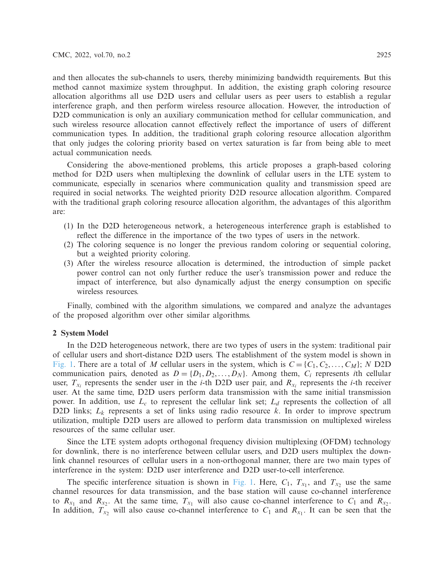and then allocates the sub-channels to users, thereby minimizing bandwidth requirements. But this method cannot maximize system throughput. In addition, the existing graph coloring resource allocation algorithms all use D2D users and cellular users as peer users to establish a regular interference graph, and then perform wireless resource allocation. However, the introduction of D<sub>2</sub>D communication is only an auxiliary communication method for cellular communication, and such wireless resource allocation cannot effectively reflect the importance of users of different communication types. In addition, the traditional graph coloring resource allocation algorithm that only judges the coloring priority based on vertex saturation is far from being able to meet actual communication needs.

Considering the above-mentioned problems, this article proposes a graph-based coloring method for D2D users when multiplexing the downlink of cellular users in the LTE system to communicate, especially in scenarios where communication quality and transmission speed are required in social networks. The weighted priority D2D resource allocation algorithm. Compared with the traditional graph coloring resource allocation algorithm, the advantages of this algorithm are:

- (1) In the D2D heterogeneous network, a heterogeneous interference graph is established to reflect the difference in the importance of the two types of users in the network.
- (2) The coloring sequence is no longer the previous random coloring or sequential coloring, but a weighted priority coloring.
- (3) After the wireless resource allocation is determined, the introduction of simple packet power control can not only further reduce the user's transmission power and reduce the impact of interference, but also dynamically adjust the energy consumption on specific wireless resources.

Finally, combined with the algorithm simulations, we compared and analyze the advantages of the proposed algorithm over other similar algorithms.

## **2 System Model**

In the D2D heterogeneous network, there are two types of users in the system: traditional pair of cellular users and short-distance D2D users. The establishment of the system model is shown in [Fig. 1.](#page-3-0) There are a total of *M* cellular users in the system, which is  $C = \{C_1, C_2, \ldots, C_M\}$ ; *N* D2D communication pairs, denoted as  $D = \{D_1, D_2, \ldots, D_N\}$ . Among them,  $C_i$  represents *i*th cellular user,  $T_{x_i}$  represents the sender user in the *i*-th D2D user pair, and  $R_{x_i}$  represents the *i*-th receiver user. At the same time, D2D users perform data transmission with the same initial transmission power. In addition, use  $L_c$  to represent the cellular link set;  $L_d$  represents the collection of all D2D links; *Lk* represents a set of links using radio resource *k*. In order to improve spectrum utilization, multiple D2D users are allowed to perform data transmission on multiplexed wireless resources of the same cellular user.

Since the LTE system adopts orthogonal frequency division multiplexing (OFDM) technology for downlink, there is no interference between cellular users, and D2D users multiplex the downlink channel resources of cellular users in a non-orthogonal manner, there are two main types of interference in the system: D2D user interference and D2D user-to-cell interference.

The specific interference situation is shown in [Fig. 1.](#page-3-0) Here,  $C_1$ ,  $T_{x_1}$ , and  $T_{x_2}$  use the same channel resources for data transmission, and the base station will cause co-channel interference to  $R_{x_1}$  and  $R_{x_2}$ . At the same time,  $T_{x_1}$  will also cause co-channel interference to  $C_1$  and  $R_{x_2}$ . In addition,  $T_{x_2}$  will also cause co-channel interference to  $C_1$  and  $R_{x_1}$ . It can be seen that the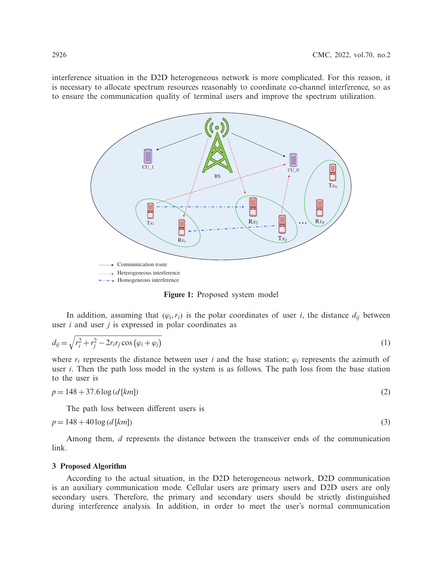interference situation in the D2D heterogeneous network is more complicated. For this reason, it is necessary to allocate spectrum resources reasonably to coordinate co-channel interference, so as to ensure the communication quality of terminal users and improve the spectrum utilization.



<span id="page-3-0"></span>**Figure 1:** Proposed system model

In addition, assuming that  $(\varphi_i, r_i)$  is the polar coordinates of user *i*, the distance  $d_{ij}$  between user *i* and user *j* is expressed in polar coordinates as

$$
d_{ij} = \sqrt{r_i^2 + r_j^2 - 2r_i r_j \cos \left(\varphi_i + \varphi_j\right)}
$$
\n<sup>(1)</sup>

where  $r_i$  represents the distance between user *i* and the base station;  $\varphi_i$  represents the azimuth of user *i*. Then the path loss model in the system is as follows. The path loss from the base station to the user is

$$
p = 148 + 37.6 \log (d \, [km]) \tag{2}
$$

The path loss between different users is

$$
p = 148 + 40 \log (d \, [km]) \tag{3}
$$

Among them, *d* represents the distance between the transceiver ends of the communication link.

### **3 Proposed Algorithm**

According to the actual situation, in the D2D heterogeneous network, D2D communication is an auxiliary communication mode. Cellular users are primary users and D2D users are only secondary users. Therefore, the primary and secondary users should be strictly distinguished during interference analysis. In addition, in order to meet the user's normal communication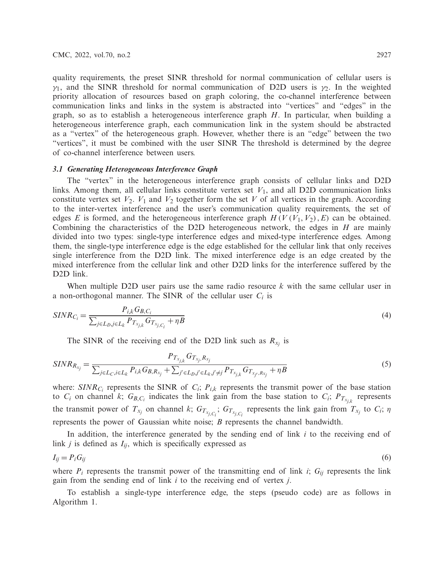quality requirements, the preset SINR threshold for normal communication of cellular users is  $\gamma_1$ , and the SINR threshold for normal communication of D2D users is  $\gamma_2$ . In the weighted priority allocation of resources based on graph coloring, the co-channel interference between communication links and links in the system is abstracted into "vertices" and "edges" in the graph, so as to establish a heterogeneous interference graph *H*. In particular, when building a heterogeneous interference graph, each communication link in the system should be abstracted as a "vertex" of the heterogeneous graph. However, whether there is an "edge" between the two "vertices", it must be combined with the user SINR The threshold is determined by the degree of co-channel interference between users.

## *3.1 Generating Heterogeneous Interference Graph*

The "vertex" in the heterogeneous interference graph consists of cellular links and D2D links. Among them, all cellular links constitute vertex set  $V_1$ , and all D2D communication links constitute vertex set  $V_2$ .  $V_1$  and  $V_2$  together form the set V of all vertices in the graph. According to the inter-vertex interference and the user's communication quality requirements, the set of edges *E* is formed, and the heterogeneous interference graph  $H(V(V_1, V_2), E)$  can be obtained. Combining the characteristics of the D2D heterogeneous network, the edges in *H* are mainly divided into two types: single-type interference edges and mixed-type interference edges. Among them, the single-type interference edge is the edge established for the cellular link that only receives single interference from the D2D link. The mixed interference edge is an edge created by the mixed interference from the cellular link and other D2D links for the interference suffered by the D2D link.

When multiple D2D user pairs use the same radio resource *k* with the same cellular user in a non-orthogonal manner. The SINR of the cellular user *Ci* is

$$
SINR_{C_i} = \frac{P_{i,k}G_{B,C_i}}{\sum_{j \in L_D, j \in L_k} P_{T_{x_{j,k}}G_{T_{x_{j,C_i}}} + \eta B}
$$
\n(4)

<span id="page-4-0"></span>The SINR of the receiving end of the D2D link such as  $R_{x_i}$  is

$$
SINR_{R_{x_j}} = \frac{P_{T_{x_{j,k}}}G_{T_{x_j,R_{x_j}}}}{\sum_{j \in L_C, i \in L_k} P_{i,k}G_{B,R_{x_j}} + \sum_{j' \in L_D, j' \in L_k, j' \neq j} P_{T_{x_{j,k}}}G_{T_{x_{j'},R_{x_j}}} + \eta B}
$$
(5)

where:  $SINR_{C_i}$  represents the SINR of  $C_i$ ;  $P_{i,k}$  represents the transmit power of the base station to  $C_i$  on channel *k*;  $G_{B,C_i}$  indicates the link gain from the base station to  $C_i$ ;  $P_{T_{x_i}}$  represents the transmit power of  $T_{x_j}$  on channel *k*;  $G_{T_{x_j,C_i}}$ ;  $G_{T_{x_j,C_i}}$  represents the link gain from  $T_{x_j}$  to  $C_i$ ;  $\eta$ represents the power of Gaussian white noise; *B* represents the channel bandwidth.

In addition, the interference generated by the sending end of link *i* to the receiving end of link  $j$  is defined as  $I_{ij}$ , which is specifically expressed as

$$
I_{ij} = P_i G_{ij} \tag{6}
$$

where  $P_i$  represents the transmit power of the transmitting end of link *i*;  $G_{ij}$  represents the link gain from the sending end of link *i* to the receiving end of vertex *j*.

To establish a single-type interference edge, the steps (pseudo code) are as follows in Algorithm 1.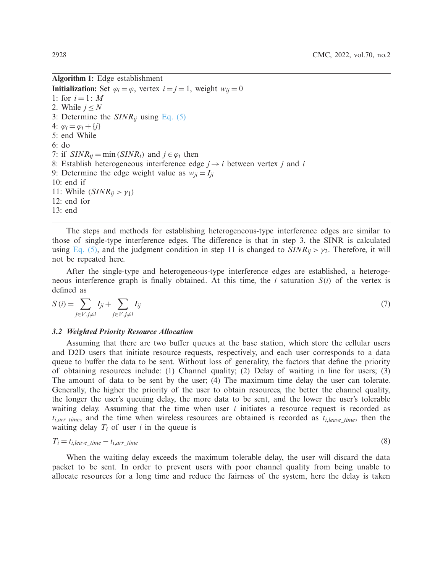**Algorithm 1:** Edge establishment

**Initialization:** Set  $\varphi_i = \varphi$ , vertex  $i = j = 1$ , weight  $w_{ij} = 0$ 1: for  $i = 1: M$ 2. While  $j \leq N$ 3: Determine the *SINRij* using [Eq. \(5\)](#page-4-0) 4:  $\varphi_i = \varphi_i + \{j\}$ 5: end While 6: do 7: if  $SINR_{ij} = \min(SINR_i)$  and  $j \in \varphi_i$  then 8: Establish heterogeneous interference edge  $j \rightarrow i$  between vertex *j* and *i* 9: Determine the edge weight value as  $w_{ji} = I_{ji}$ 10: end if 11: While  $(SINR_{ij} > \gamma_1)$ 12: end for 13: end

The steps and methods for establishing heterogeneous-type interference edges are similar to those of single-type interference edges. The difference is that in step 3, the SINR is calculated using [Eq. \(5\),](#page-4-0) and the judgment condition in step 11 is changed to  $SINR_{ij} > \gamma_2$ . Therefore, it will not be repeated here.

After the single-type and heterogeneous-type interference edges are established, a heterogeneous interference graph is finally obtained. At this time, the *i* saturation *S*(*i*) of the vertex is defined as

<span id="page-5-0"></span>
$$
S(i) = \sum_{j \in V, j \neq i} I_{ji} + \sum_{j \in V, j \neq i} I_{ij}
$$
\n
$$
(7)
$$

#### *3.2 Weighted Priority Resource Allocation*

Assuming that there are two buffer queues at the base station, which store the cellular users and D2D users that initiate resource requests, respectively, and each user corresponds to a data queue to buffer the data to be sent. Without loss of generality, the factors that define the priority of obtaining resources include: (1) Channel quality; (2) Delay of waiting in line for users; (3) The amount of data to be sent by the user; (4) The maximum time delay the user can tolerate. Generally, the higher the priority of the user to obtain resources, the better the channel quality, the longer the user's queuing delay, the more data to be sent, and the lower the user's tolerable waiting delay. Assuming that the time when user *i* initiates a resource request is recorded as  $t_{i,arr-time}$ , and the time when wireless resources are obtained is recorded as  $t_{i,leave-time}$ , then the waiting delay  $T_i$  of user *i* in the queue is

$$
T_i = t_{i, leave\_time} - t_{i, arr\_time}
$$
\n
$$
\tag{8}
$$

When the waiting delay exceeds the maximum tolerable delay, the user will discard the data packet to be sent. In order to prevent users with poor channel quality from being unable to allocate resources for a long time and reduce the fairness of the system, here the delay is taken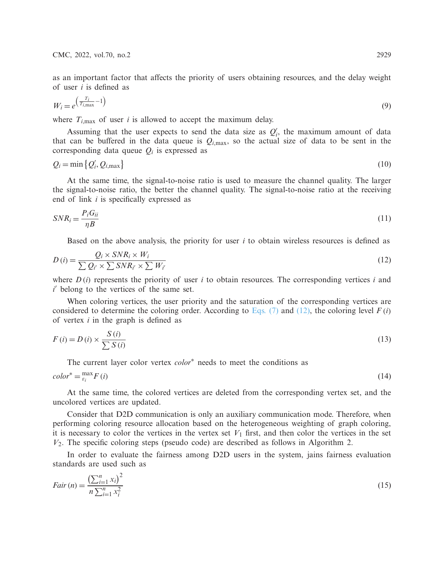as an important factor that affects the priority of users obtaining resources, and the delay weight of user *i* is defined as

$$
W_i = e^{\left(\frac{T_i}{T_{i,\text{max}}}-1\right)}\tag{9}
$$

where  $T_{i, \text{max}}$  of user *i* is allowed to accept the maximum delay.

Assuming that the user expects to send the data size as  $Q_i'$ , the maximum amount of data that can be buffered in the data queue is  $Q_{i,\text{max}}$ , so the actual size of data to be sent in the corresponding data queue  $Q_i$  is expressed as

$$
Q_i = \min\left\{Q_i', Q_{i,\max}\right\} \tag{10}
$$

At the same time, the signal-to-noise ratio is used to measure the channel quality. The larger the signal-to-noise ratio, the better the channel quality. The signal-to-noise ratio at the receiving end of link *i* is specifically expressed as

$$
SNR_i = \frac{P_i G_{ii}}{\eta B} \tag{11}
$$

<span id="page-6-0"></span>Based on the above analysis, the priority for user *i* to obtain wireless resources is defined as

$$
D(i) = \frac{Q_i \times SNR_i \times W_i}{\sum Q_{i'} \times \sum SNR_{i'} \times \sum W_{i'}} \tag{12}
$$

where  $D(i)$  represents the priority of user *i* to obtain resources. The corresponding vertices *i* and *i* belong to the vertices of the same set.

When coloring vertices, the user priority and the saturation of the corresponding vertices are considered to determine the coloring order. According to [Eqs. \(7\)](#page-5-0) and [\(12\),](#page-6-0) the coloring level  $F(i)$ of vertex *i* in the graph is defined as

$$
F(i) = D(i) \times \frac{S(i)}{\sum S(i)}
$$
\n(13)

<span id="page-6-2"></span><span id="page-6-1"></span>The current layer color vertex *color*<sup>∗</sup> needs to meet the conditions as

$$
color^* = \max_{\varepsilon_i} F(i) \tag{14}
$$

At the same time, the colored vertices are deleted from the corresponding vertex set, and the uncolored vertices are updated.

Consider that D2D communication is only an auxiliary communication mode. Therefore, when performing coloring resource allocation based on the heterogeneous weighting of graph coloring, it is necessary to color the vertices in the vertex set  $V_1$  first, and then color the vertices in the set  $V_2$ . The specific coloring steps (pseudo code) are described as follows in Algorithm 2.

In order to evaluate the fairness among D2D users in the system, jains fairness evaluation standards are used such as

$$
Fair(n) = \frac{\left(\sum_{i=1}^{n} x_i\right)^2}{n \sum_{i=1}^{n} x_i^2}
$$
\n(15)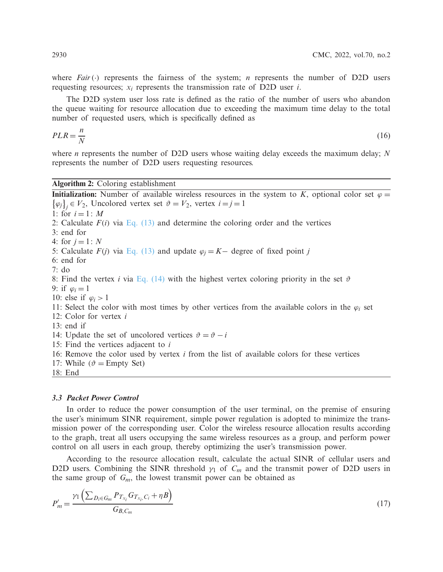where *Fair*( $\cdot$ ) represents the fairness of the system; *n* represents the number of D2D users requesting resources;  $x_i$  represents the transmission rate of D2D user *i*.

The D2D system user loss rate is defined as the ratio of the number of users who abandon the queue waiting for resource allocation due to exceeding the maximum time delay to the total number of requested users, which is specifically defined as

$$
PLR = \frac{n}{N} \tag{16}
$$

where *n* represents the number of D2D users whose waiting delay exceeds the maximum delay; *N* represents the number of D2D users requesting resources.

# **Algorithm 2:** Coloring establishment

**Initialization:** Number of available wireless resources in the system to *K*, optional color set  $\varphi$  =  $\{\varphi_j\}_j \in V_2$ , Uncolored vertex set  $\vartheta = V_2$ , vertex  $i = j = 1$ 1: for  $i = 1: M$ 2: Calculate  $F(i)$  via [Eq. \(13\)](#page-6-1) and determine the coloring order and the vertices 3: end for 4: for  $j = 1: N$ 5: Calculate  $F(j)$  via [Eq. \(13\)](#page-6-1) and update  $\varphi_j = K -$  degree of fixed point *j* 6: end for 7: do 8: Find the vertex *i* via [Eq. \(14\)](#page-6-2) with the highest vertex coloring priority in the set  $\vartheta$ 9: if  $\varphi_i = 1$ 10: else if  $\varphi_i > 1$ 11: Select the color with most times by other vertices from the available colors in the  $\varphi_i$  set 12: Color for vertex *i* 13: end if 14: Update the set of uncolored vertices  $\vartheta = \vartheta - i$ 15: Find the vertices adjacent to *i* 16: Remove the color used by vertex *i* from the list of available colors for these vertices 17: While ( $\vartheta$  = Empty Set) 18: End

## *3.3 Packet Power Control*

In order to reduce the power consumption of the user terminal, on the premise of ensuring the user's minimum SINR requirement, simple power regulation is adopted to minimize the transmission power of the corresponding user. Color the wireless resource allocation results according to the graph, treat all users occupying the same wireless resources as a group, and perform power control on all users in each group, thereby optimizing the user's transmission power.

According to the resource allocation result, calculate the actual SINR of cellular users and D2D users. Combining the SINR threshold  $\gamma_1$  of  $C_m$  and the transmit power of D2D users in the same group of  $G_m$ , the lowest transmit power can be obtained as

<span id="page-7-0"></span>
$$
P'_{m} = \frac{\gamma_1 \left( \sum_{D_i \in G_m} P_{T_{x_i}} G_{T_{x_i}, C_i} + \eta B \right)}{G_{B, C_m}}
$$
(17)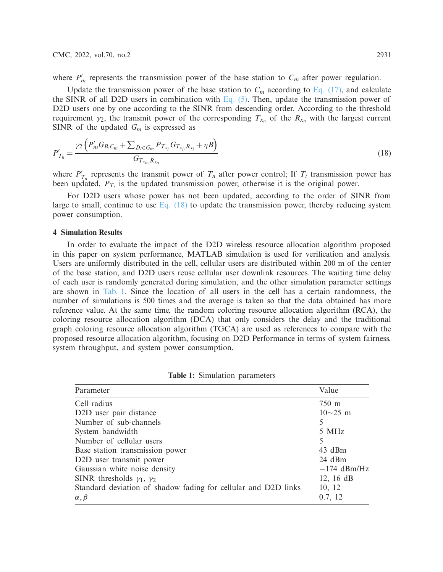where  $P'_m$  represents the transmission power of the base station to  $C_m$  after power regulation.

Update the transmission power of the base station to  $C_m$  according to [Eq. \(17\),](#page-7-0) and calculate the SINR of all D2D users in combination with Eq.  $(5)$ . Then, update the transmission power of D2D users one by one according to the SINR from descending order. According to the threshold requirement  $\gamma_2$ , the transmit power of the corresponding  $T_{x_n}$  of the  $R_{x_n}$  with the largest current SINR of the updated *Gm* is expressed as

<span id="page-8-0"></span>
$$
P'_{T_n} = \frac{\gamma_2 \left( P'_m G_{B,C_m} + \sum_{D_i \in G_m} P_{T_{x_i}} G_{T_{x_i},R_{x_i}} + \eta B \right)}{G_{T_{x_n},R_{x_n}}}
$$
(18)

where  $P'_{T_n}$  represents the transmit power of  $T_n$  after power control; If  $T_i$  transmission power has been updated,  $P_{T_i}$  is the updated transmission power, otherwise it is the original power.

For D2D users whose power has not been updated, according to the order of SINR from large to small, continue to use Eq.  $(18)$  to update the transmission power, thereby reducing system power consumption.

#### **4 Simulation Results**

In order to evaluate the impact of the D2D wireless resource allocation algorithm proposed in this paper on system performance, MATLAB simulation is used for verification and analysis. Users are uniformly distributed in the cell, cellular users are distributed within 200 m of the center of the base station, and D2D users reuse cellular user downlink resources. The waiting time delay of each user is randomly generated during simulation, and the other simulation parameter settings are shown in [Tab. 1.](#page-8-1) Since the location of all users in the cell has a certain randomness, the number of simulations is 500 times and the average is taken so that the data obtained has more reference value. At the same time, the random coloring resource allocation algorithm (RCA), the coloring resource allocation algorithm (DCA) that only considers the delay and the traditional graph coloring resource allocation algorithm (TGCA) are used as references to compare with the proposed resource allocation algorithm, focusing on D2D Performance in terms of system fairness, system throughput, and system power consumption.

<span id="page-8-1"></span>

| Parameter                                                      | Value          |
|----------------------------------------------------------------|----------------|
| Cell radius                                                    | 750 m          |
| D <sub>2</sub> D user pair distance                            | $10{\sim}25$ m |
| Number of sub-channels                                         | 5              |
| System bandwidth                                               | 5 MHz          |
| Number of cellular users                                       | 5              |
| Base station transmission power                                | $43$ dBm       |
| D2D user transmit power                                        | 24 dBm         |
| Gaussian white noise density                                   | $-174$ dBm/Hz  |
| SINR thresholds $\gamma_1$ , $\gamma_2$                        | 12, 16 $dB$    |
| Standard deviation of shadow fading for cellular and D2D links | 10, 12         |
| $\alpha, \beta$                                                | 0.7, 12        |

**Table 1:** Simulation parameters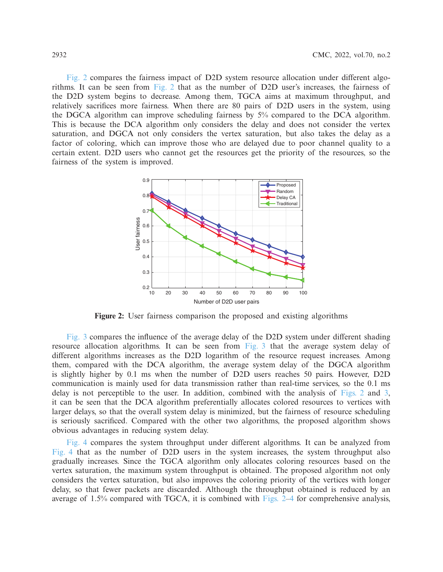[Fig. 2](#page-9-0) compares the fairness impact of D2D system resource allocation under different algorithms. It can be seen from [Fig. 2](#page-9-0) that as the number of D2D user's increases, the fairness of the D2D system begins to decrease. Among them, TGCA aims at maximum throughput, and relatively sacrifices more fairness. When there are 80 pairs of D2D users in the system, using the DGCA algorithm can improve scheduling fairness by 5% compared to the DCA algorithm. This is because the DCA algorithm only considers the delay and does not consider the vertex saturation, and DGCA not only considers the vertex saturation, but also takes the delay as a factor of coloring, which can improve those who are delayed due to poor channel quality to a certain extent. D2D users who cannot get the resources get the priority of the resources, so the fairness of the system is improved.



<span id="page-9-0"></span>**Figure 2:** User fairness comparison the proposed and existing algorithms

[Fig. 3](#page-10-0) compares the influence of the average delay of the D2D system under different shading resource allocation algorithms. It can be seen from [Fig. 3](#page-10-0) that the average system delay of different algorithms increases as the D2D logarithm of the resource request increases. Among them, compared with the DCA algorithm, the average system delay of the DGCA algorithm is slightly higher by 0.1 ms when the number of D2D users reaches 50 pairs. However, D2D communication is mainly used for data transmission rather than real-time services, so the 0.1 ms delay is not perceptible to the user. In addition, combined with the analysis of [Figs. 2](#page-9-0) and [3,](#page-10-0) it can be seen that the DCA algorithm preferentially allocates colored resources to vertices with larger delays, so that the overall system delay is minimized, but the fairness of resource scheduling is seriously sacrificed. Compared with the other two algorithms, the proposed algorithm shows obvious advantages in reducing system delay.

[Fig. 4](#page-10-1) compares the system throughput under different algorithms. It can be analyzed from [Fig. 4](#page-10-1) that as the number of D2D users in the system increases, the system throughput also gradually increases. Since the TGCA algorithm only allocates coloring resources based on the vertex saturation, the maximum system throughput is obtained. The proposed algorithm not only considers the vertex saturation, but also improves the coloring priority of the vertices with longer delay, so that fewer packets are discarded. Although the throughput obtained is reduced by an average of 1.5% compared with TGCA, it is combined with [Figs. 2–](#page-9-0)[4](#page-10-1) for comprehensive analysis,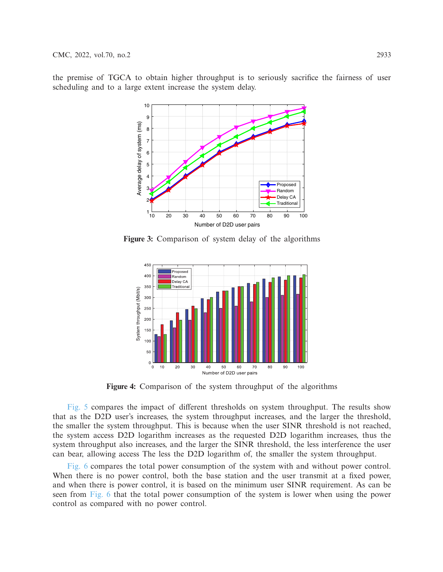the premise of TGCA to obtain higher throughput is to seriously sacrifice the fairness of user scheduling and to a large extent increase the system delay.



**Figure 3:** Comparison of system delay of the algorithms

<span id="page-10-0"></span>

<span id="page-10-1"></span>**Figure 4:** Comparison of the system throughput of the algorithms

[Fig. 5](#page-11-0) compares the impact of different thresholds on system throughput. The results show that as the D2D user's increases, the system throughput increases, and the larger the threshold, the smaller the system throughput. This is because when the user SINR threshold is not reached, the system access D2D logarithm increases as the requested D2D logarithm increases, thus the system throughput also increases, and the larger the SINR threshold, the less interference the user can bear, allowing access The less the D2D logarithm of, the smaller the system throughput.

[Fig. 6](#page-11-1) compares the total power consumption of the system with and without power control. When there is no power control, both the base station and the user transmit at a fixed power, and when there is power control, it is based on the minimum user SINR requirement. As can be seen from [Fig. 6](#page-11-1) that the total power consumption of the system is lower when using the power control as compared with no power control.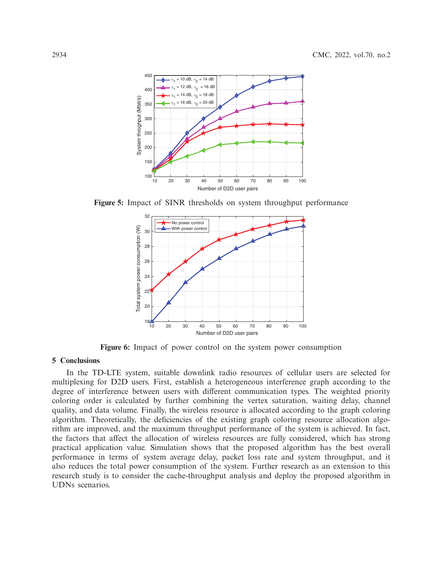

**Figure 5:** Impact of SINR thresholds on system throughput performance

<span id="page-11-0"></span>

<span id="page-11-1"></span>**Figure 6:** Impact of power control on the system power consumption

# **5 Conclusions**

In the TD-LTE system, suitable downlink radio resources of cellular users are selected for multiplexing for D2D users. First, establish a heterogeneous interference graph according to the degree of interference between users with different communication types. The weighted priority coloring order is calculated by further combining the vertex saturation, waiting delay, channel quality, and data volume. Finally, the wireless resource is allocated according to the graph coloring algorithm. Theoretically, the deficiencies of the existing graph coloring resource allocation algorithm are improved, and the maximum throughput performance of the system is achieved. In fact, the factors that affect the allocation of wireless resources are fully considered, which has strong practical application value. Simulation shows that the proposed algorithm has the best overall performance in terms of system average delay, packet loss rate and system throughput, and it also reduces the total power consumption of the system. Further research as an extension to this research study is to consider the cache-throughput analysis and deploy the proposed algorithm in UDNs scenarios.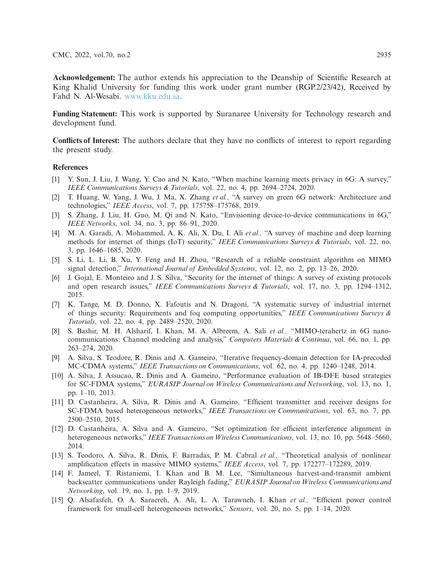**Acknowledgement:** The author extends his appreciation to the Deanship of Scientific Research at King Khalid University for funding this work under grant number (RGP.2/23/42), Received by Fahd N. Al-Wesabi. [www.kku.edu.sa.](https://www.kku.edu.sa)

**Funding Statement:** This work is supported by Suranaree University for Technology research and development fund.

**Conflicts of Interest:** The authors declare that they have no conflicts of interest to report regarding the present study.

#### **References**

- <span id="page-12-0"></span>[1] Y. Sun, J. Liu, J. Wang, Y. Cao and N. Kato, "When machine learning meets privacy in 6G: A survey," *IEEE Communications Surveys & Tutorials*, vol. 22, no. 4, pp. 2694–2724, 2020.
- [2] T. Huang, W. Yang, J. Wu, J. Ma, X. Zhang *et al.,* "A survey on green 6G network: Architecture and technologies," *IEEE Access*, vol. 7, pp. 175758–175768, 2019.
- [3] S. Zhang, J. Liu, H. Guo, M. Qi and N. Kato, "Envisioning device-to-device communications in 6G," *IEEE Networks*, vol. 34, no. 3, pp. 86–91, 2020.
- [4] M. A. Garadi, A. Mohammed, A. K. Ali, X. Du, I. Ali *et al.,* "A survey of machine and deep learning methods for internet of things (IoT) security," *IEEE Communications Surveys & Tutorials*, vol. 22, no. 3, pp. 1646–1685, 2020.
- [5] S. Li, L. Li, B. Xu, Y. Feng and H. Zhou, "Research of a reliable constraint algorithm on MIMO signal detection," *International Journal of Embedded Systems*, vol. 12, no. 2, pp. 13–26, 2020.
- [6] J. Gojal, E. Monteiro and J. S. Silva, "Security for the internet of things: A survey of existing protocols and open research issues," *IEEE Communications Surveys & Tutorials*, vol. 17, no. 3, pp. 1294–1312, 2015.
- <span id="page-12-1"></span>[7] K. Tange, M. D. Donno, X. Fafoutis and N. Dragoni, "A systematic survey of industrial internet of things security: Requirements and foq computing opportunities," *IEEE Communications Surveys & Tutorials*, vol. 22, no. 4, pp. 2489–2520, 2020.
- <span id="page-12-2"></span>[8] S. Bashir, M. H. Alsharif, I. Khan, M. A. Albreem, A. Sali *et al.,* "MIMO-terahertz in 6G nanocommunications: Channel modeling and analysis," *Computers Materials & Continua*, vol. 66, no. 1, pp. 263–274, 2020.
- [9] A. Silva, S. Teodore, R. Dinis and A. Gameiro, "Iterative frequency-domain detection for IA-precoded MC-CDMA systems," *IEEE Transactions on Communications*, vol. 62, no. 4, pp. 1240–1248, 2014.
- [10] A. Silva, J. Assucao, R. Dinis and A. Gameiro, "Performance evaluation of IB-DFE based strategies for SC-FDMA systems," *EURASIP Journal on Wireless Communications and Networking*, vol. 13, no. 1, pp. 1–10, 2013.
- [11] D. Castanheira, A. Silva, R. Dinis and A. Gameiro, "Efficient transmitter and receiver designs for SC-FDMA based heterogeneous networks," *IEEE Transactions on Communications*, vol. 63, no. 7, pp. 2500–2510, 2015.
- [12] D. Castanheira, A. Silva and A. Gameiro, "Set optimization for efficient interference alignment in heterogeneous networks," *IEEE Transactions onWireless Communications*, vol. 13, no. 10, pp. 5648–5660, 2014.
- [13] S. Teodoro, A. Silva, R. Dinis, F. Barradas, P. M. Cabral *et al.,* "Theoretical analysis of nonlinear amplification effects in massive MIMO systems," *IEEE Access*, vol. 7, pp. 172277–172289, 2019.
- <span id="page-12-3"></span>[14] F. Jameel, T. Ristaniemi, I. Khan and B. M. Lee, "Simultaneous harvest-and-transmit ambient backscatter communications under Rayleigh fading," *EURASIP Journal on Wireless Communications and Networking*, vol. 19, no. 1, pp. 1–9, 2019.
- <span id="page-12-4"></span>[15] Q. Alsafasfeh, O. A. Saraereh, A. Ali, L. A. Tarawneh, I. Khan *et al.,* "Efficient power control framework for small-cell heterogeneous networks," *Sensors*, vol. 20, no. 5, pp. 1–14, 2020.